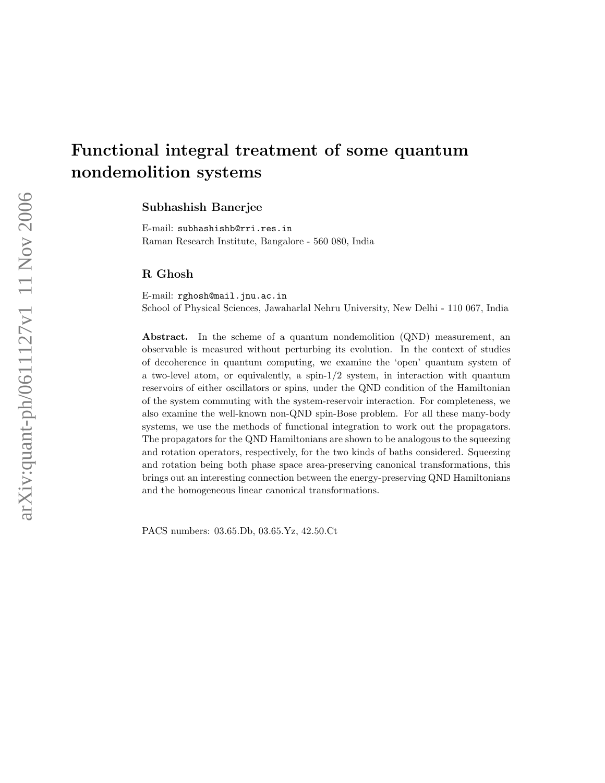# Functional integral treatment of some quantum nondemolition systems

Subhashish Banerjee

E-mail: subhashishb@rri.res.in Raman Research Institute, Bangalore - 560 080, India

## R Ghosh

E-mail: rghosh@mail.jnu.ac.in School of Physical Sciences, Jawaharlal Nehru University, New Delhi - 110 067, India

Abstract. In the scheme of a quantum nondemolition (QND) measurement, an observable is measured without perturbing its evolution. In the context of studies of decoherence in quantum computing, we examine the 'open' quantum system of a two-level atom, or equivalently, a spin- $1/2$  system, in interaction with quantum reservoirs of either oscillators or spins, under the QND condition of the Hamiltonian of the system commuting with the system-reservoir interaction. For completeness, we also examine the well-known non-QND spin-Bose problem. For all these many-body systems, we use the methods of functional integration to work out the propagators. The propagators for the QND Hamiltonians are shown to be analogous to the squeezing and rotation operators, respectively, for the two kinds of baths considered. Squeezing and rotation being both phase space area-preserving canonical transformations, this brings out an interesting connection between the energy-preserving QND Hamiltonians and the homogeneous linear canonical transformations.

PACS numbers: 03.65.Db, 03.65.Yz, 42.50.Ct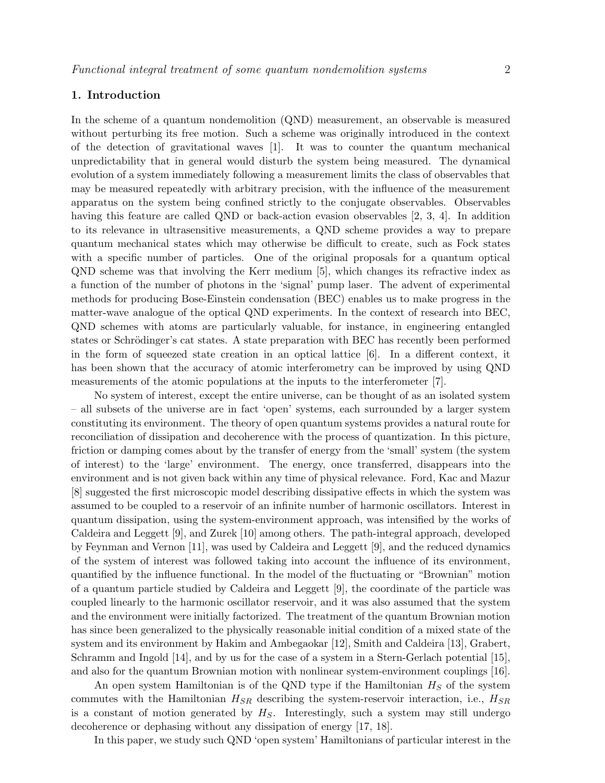## 1. Introduction

In the scheme of a quantum nondemolition (QND) measurement, an observable is measured without perturbing its free motion. Such a scheme was originally introduced in the context of the detection of gravitational waves [1]. It was to counter the quantum mechanical unpredictability that in general would disturb the system being measured. The dynamical evolution of a system immediately following a measurement limits the class of observables that may be measured repeatedly with arbitrary precision, with the influence of the measurement apparatus on the system being confined strictly to the conjugate observables. Observables having this feature are called QND or back-action evasion observables [2, 3, 4]. In addition to its relevance in ultrasensitive measurements, a QND scheme provides a way to prepare quantum mechanical states which may otherwise be difficult to create, such as Fock states with a specific number of particles. One of the original proposals for a quantum optical QND scheme was that involving the Kerr medium [5], which changes its refractive index as a function of the number of photons in the 'signal' pump laser. The advent of experimental methods for producing Bose-Einstein condensation (BEC) enables us to make progress in the matter-wave analogue of the optical QND experiments. In the context of research into BEC, QND schemes with atoms are particularly valuable, for instance, in engineering entangled states or Schrödinger's cat states. A state preparation with BEC has recently been performed in the form of squeezed state creation in an optical lattice [6]. In a different context, it has been shown that the accuracy of atomic interferometry can be improved by using QND measurements of the atomic populations at the inputs to the interferometer [7].

No system of interest, except the entire universe, can be thought of as an isolated system – all subsets of the universe are in fact 'open' systems, each surrounded by a larger system constituting its environment. The theory of open quantum systems provides a natural route for reconciliation of dissipation and decoherence with the process of quantization. In this picture, friction or damping comes about by the transfer of energy from the 'small' system (the system of interest) to the 'large' environment. The energy, once transferred, disappears into the environment and is not given back within any time of physical relevance. Ford, Kac and Mazur [8] suggested the first microscopic model describing dissipative effects in which the system was assumed to be coupled to a reservoir of an infinite number of harmonic oscillators. Interest in quantum dissipation, using the system-environment approach, was intensified by the works of Caldeira and Leggett [9], and Zurek [10] among others. The path-integral approach, developed by Feynman and Vernon [11], was used by Caldeira and Leggett [9], and the reduced dynamics of the system of interest was followed taking into account the influence of its environment, quantified by the influence functional. In the model of the fluctuating or "Brownian" motion of a quantum particle studied by Caldeira and Leggett [9], the coordinate of the particle was coupled linearly to the harmonic oscillator reservoir, and it was also assumed that the system and the environment were initially factorized. The treatment of the quantum Brownian motion has since been generalized to the physically reasonable initial condition of a mixed state of the system and its environment by Hakim and Ambegaokar [12], Smith and Caldeira [13], Grabert, Schramm and Ingold [14], and by us for the case of a system in a Stern-Gerlach potential [15], and also for the quantum Brownian motion with nonlinear system-environment couplings [16].

An open system Hamiltonian is of the QND type if the Hamiltonian  $H<sub>S</sub>$  of the system commutes with the Hamiltonian  $H_{SR}$  describing the system-reservoir interaction, i.e.,  $H_{SR}$ is a constant of motion generated by  $H<sub>S</sub>$ . Interestingly, such a system may still undergo decoherence or dephasing without any dissipation of energy [17, 18].

In this paper, we study such QND 'open system' Hamiltonians of particular interest in the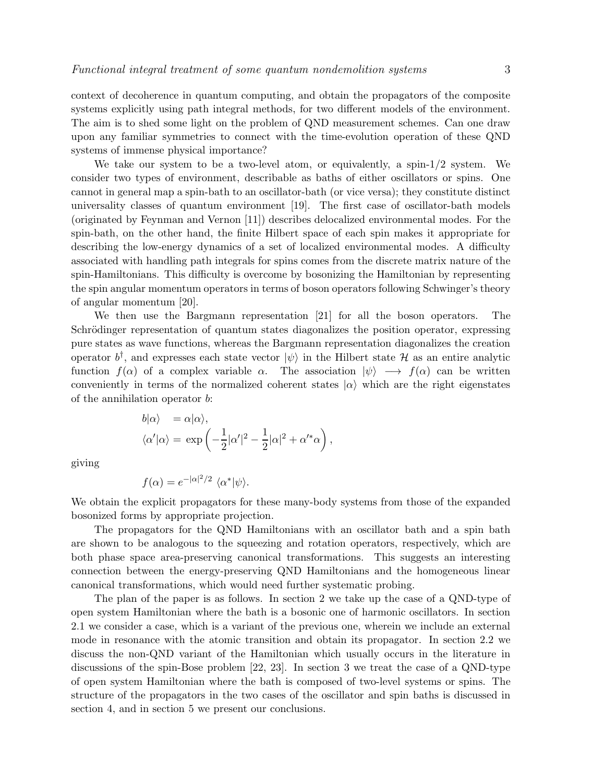context of decoherence in quantum computing, and obtain the propagators of the composite systems explicitly using path integral methods, for two different models of the environment. The aim is to shed some light on the problem of QND measurement schemes. Can one draw upon any familiar symmetries to connect with the time-evolution operation of these QND systems of immense physical importance?

We take our system to be a two-level atom, or equivalently, a spin- $1/2$  system. We consider two types of environment, describable as baths of either oscillators or spins. One cannot in general map a spin-bath to an oscillator-bath (or vice versa); they constitute distinct universality classes of quantum environment [19]. The first case of oscillator-bath models (originated by Feynman and Vernon [11]) describes delocalized environmental modes. For the spin-bath, on the other hand, the finite Hilbert space of each spin makes it appropriate for describing the low-energy dynamics of a set of localized environmental modes. A difficulty associated with handling path integrals for spins comes from the discrete matrix nature of the spin-Hamiltonians. This difficulty is overcome by bosonizing the Hamiltonian by representing the spin angular momentum operators in terms of boson operators following Schwinger's theory of angular momentum [20].

We then use the Bargmann representation [21] for all the boson operators. The Schrödinger representation of quantum states diagonalizes the position operator, expressing pure states as wave functions, whereas the Bargmann representation diagonalizes the creation operator  $b^{\dagger}$ , and expresses each state vector  $|\psi\rangle$  in the Hilbert state H as an entire analytic function  $f(\alpha)$  of a complex variable  $\alpha$ . The association  $|\psi\rangle \longrightarrow f(\alpha)$  can be written conveniently in terms of the normalized coherent states  $|\alpha\rangle$  which are the right eigenstates of the annihilation operator b:

$$
b|\alpha\rangle = \alpha|\alpha\rangle,
$$
  

$$
\langle \alpha'|\alpha\rangle = \exp\left(-\frac{1}{2}|\alpha'|^2 - \frac{1}{2}|\alpha|^2 + \alpha'^*\alpha\right),
$$

giving

$$
f(\alpha) = e^{-|\alpha|^2/2} \langle \alpha^* | \psi \rangle.
$$

We obtain the explicit propagators for these many-body systems from those of the expanded bosonized forms by appropriate projection.

The propagators for the QND Hamiltonians with an oscillator bath and a spin bath are shown to be analogous to the squeezing and rotation operators, respectively, which are both phase space area-preserving canonical transformations. This suggests an interesting connection between the energy-preserving QND Hamiltonians and the homogeneous linear canonical transformations, which would need further systematic probing.

The plan of the paper is as follows. In section 2 we take up the case of a QND-type of open system Hamiltonian where the bath is a bosonic one of harmonic oscillators. In section 2.1 we consider a case, which is a variant of the previous one, wherein we include an external mode in resonance with the atomic transition and obtain its propagator. In section 2.2 we discuss the non-QND variant of the Hamiltonian which usually occurs in the literature in discussions of the spin-Bose problem [22, 23]. In section 3 we treat the case of a QND-type of open system Hamiltonian where the bath is composed of two-level systems or spins. The structure of the propagators in the two cases of the oscillator and spin baths is discussed in section 4, and in section 5 we present our conclusions.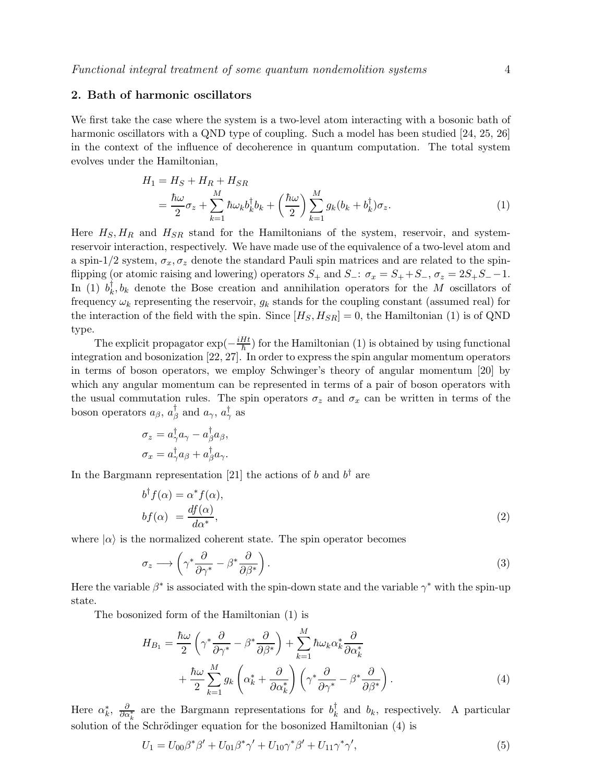# 2. Bath of harmonic oscillators

We first take the case where the system is a two-level atom interacting with a bosonic bath of harmonic oscillators with a QND type of coupling. Such a model has been studied [24, 25, 26] in the context of the influence of decoherence in quantum computation. The total system evolves under the Hamiltonian,

$$
H_1 = H_S + H_R + H_{SR}
$$
  
=  $\frac{\hbar \omega}{2} \sigma_z + \sum_{k=1}^M \hbar \omega_k b_k^{\dagger} b_k + \left(\frac{\hbar \omega}{2}\right) \sum_{k=1}^M g_k (b_k + b_k^{\dagger}) \sigma_z.$  (1)

Here  $H_S$ ,  $H_R$  and  $H_{SR}$  stand for the Hamiltonians of the system, reservoir, and systemreservoir interaction, respectively. We have made use of the equivalence of a two-level atom and a spin-1/2 system,  $\sigma_x$ ,  $\sigma_z$  denote the standard Pauli spin matrices and are related to the spinflipping (or atomic raising and lowering) operators  $S_+$  and  $S_-$ :  $\sigma_x = S_+ + S_-, \sigma_z = 2S_+S_- - 1$ . In (1)  $b_k^{\dagger}$  $k, k$  denote the Bose creation and annihilation operators for the M oscillators of frequency  $\omega_k$  representing the reservoir,  $g_k$  stands for the coupling constant (assumed real) for the interaction of the field with the spin. Since  $[H_S, H_{SR}] = 0$ , the Hamiltonian (1) is of QND type.

The explicit propagator  $\exp(-\frac{iHt}{\hbar})$  $\frac{Ht}{\hbar}$ ) for the Hamiltonian (1) is obtained by using functional integration and bosonization [22, 27]. In order to express the spin angular momentum operators in terms of boson operators, we employ Schwinger's theory of angular momentum [20] by which any angular momentum can be represented in terms of a pair of boson operators with the usual commutation rules. The spin operators  $\sigma_z$  and  $\sigma_x$  can be written in terms of the boson operators  $a_{\beta}$ ,  $a_{\beta}^{\dagger}$  $\frac{1}{\beta}$  and  $a_{\gamma}$ ,  $a_{\gamma}^{\dagger}$  as

$$
\sigma_z = a^{\dagger}_{\gamma} a_{\gamma} - a^{\dagger}_{\beta} a_{\beta},
$$
  

$$
\sigma_x = a^{\dagger}_{\gamma} a_{\beta} + a^{\dagger}_{\beta} a_{\gamma}.
$$

In the Bargmann representation [21] the actions of b and  $b^{\dagger}$  are

$$
b^{\dagger} f(\alpha) = \alpha^* f(\alpha),
$$
  

$$
b f(\alpha) = \frac{df(\alpha)}{d\alpha^*},
$$
\n(2)

where  $|\alpha\rangle$  is the normalized coherent state. The spin operator becomes

$$
\sigma_z \longrightarrow \left(\gamma^* \frac{\partial}{\partial \gamma^*} - \beta^* \frac{\partial}{\partial \beta^*}\right). \tag{3}
$$

Here the variable  $\beta^*$  is associated with the spin-down state and the variable  $\gamma^*$  with the spin-up state.

The bosonized form of the Hamiltonian (1) is

$$
H_{B_1} = \frac{\hbar\omega}{2} \left( \gamma^* \frac{\partial}{\partial \gamma^*} - \beta^* \frac{\partial}{\partial \beta^*} \right) + \sum_{k=1}^M \hbar\omega_k \alpha_k^* \frac{\partial}{\partial \alpha_k^*} + \frac{\hbar\omega}{2} \sum_{k=1}^M g_k \left( \alpha_k^* + \frac{\partial}{\partial \alpha_k^*} \right) \left( \gamma^* \frac{\partial}{\partial \gamma^*} - \beta^* \frac{\partial}{\partial \beta^*} \right).
$$
\n(4)

Here  $\alpha_k^*$ ,  $\frac{\partial}{\partial \alpha_k^*}$  are the Bargmann representations for  $b_k^{\dagger}$  $k \nvert k$  and  $b_k$ , respectively. A particular solution of the Schrödinger equation for the bosonized Hamiltonian  $(4)$  is

$$
U_1 = U_{00}\beta^*\beta' + U_{01}\beta^*\gamma' + U_{10}\gamma^*\beta' + U_{11}\gamma^*\gamma',
$$
\n(5)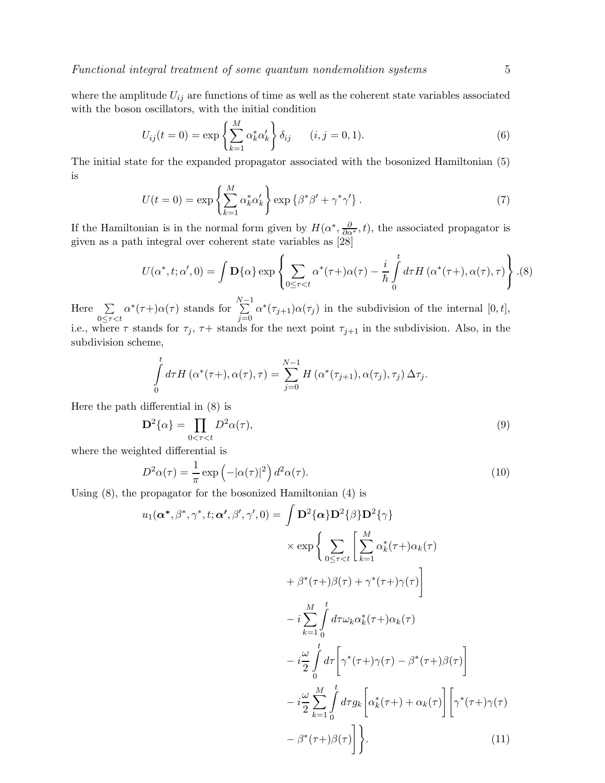where the amplitude  $U_{ij}$  are functions of time as well as the coherent state variables associated with the boson oscillators, with the initial condition

$$
U_{ij}(t=0) = \exp\left\{\sum_{k=1}^{M} \alpha_k^* \alpha_k'\right\} \delta_{ij} \qquad (i, j = 0, 1).
$$
 (6)

The initial state for the expanded propagator associated with the bosonized Hamiltonian (5) is

$$
U(t=0) = \exp\left\{\sum_{k=1}^{M} \alpha_k^* \alpha_k'\right\} \exp\left\{\beta^* \beta' + \gamma^* \gamma'\right\}.
$$
 (7)

If the Hamiltonian is in the normal form given by  $H(\alpha^*, \frac{\partial}{\partial \alpha^*}, t)$ , the associated propagator is given as a path integral over coherent state variables as [28]

$$
U(\alpha^*, t; \alpha', 0) = \int \mathbf{D}\{\alpha\} \exp\left\{ \sum_{0 \leq \tau < t} \alpha^*(\tau + \alpha(\tau) - \frac{i}{\hbar} \int_0^t d\tau H(\alpha^*(\tau +), \alpha(\tau), \tau) \right\} . (8)
$$

Here  $\Sigma$  $0 \leq \tau < t$  $\alpha^*(\tau+) \alpha(\tau)$  stands for  $\sum^{N-1}$  $j=0$  $\alpha^*(\tau_{j+1})\alpha(\tau_j)$  in the subdivision of the internal  $[0,t]$ , i.e., where  $\tau$  stands for  $\tau_j$ ,  $\tau$  stands for the next point  $\tau_{j+1}$  in the subdivision. Also, in the subdivision scheme,

$$
\int_{0}^{t} d\tau H\left(\alpha^{*}(\tau+), \alpha(\tau), \tau\right) = \sum_{j=0}^{N-1} H\left(\alpha^{*}(\tau_{j+1}), \alpha(\tau_{j}), \tau_{j}\right) \Delta \tau_{j}.
$$

Here the path differential in (8) is

$$
\mathbf{D}^2\{\alpha\} = \prod_{0 < \tau < t} D^2 \alpha(\tau),\tag{9}
$$

where the weighted differential is

$$
D^2\alpha(\tau) = \frac{1}{\pi} \exp\left(-|\alpha(\tau)|^2\right) d^2\alpha(\tau). \tag{10}
$$

Using (8), the propagator for the bosonized Hamiltonian (4) is

$$
u_1(\alpha^*, \beta^*, \gamma^*, t; \alpha', \beta', \gamma', 0) = \int \mathbf{D}^2 {\alpha} \mathbf{D}^2 {\beta} \mathbf{D}^2 {\gamma}
$$
  
\n
$$
\times \exp \left\{ \sum_{0 \leq \tau < t} \left[ \sum_{k=1}^M \alpha_k^* (\tau+) \alpha_k(\tau) + \beta^* (\tau+) \beta(\tau) + \gamma^* (\tau+) \gamma(\tau) \right] \right\}
$$
  
\n
$$
- i \sum_{k=1}^M \int_0^t d\tau \omega_k \alpha_k^* (\tau+) \alpha_k(\tau)
$$
  
\n
$$
- i \frac{\omega}{2} \int_0^t d\tau \left[ \gamma^* (\tau+) \gamma(\tau) - \beta^* (\tau+) \beta(\tau) \right]
$$
  
\n
$$
- i \frac{\omega}{2} \sum_{k=1}^M \int_0^t d\tau g_k \left[ \alpha_k^* (\tau+) + \alpha_k(\tau) \right] \left[ \gamma^* (\tau+) \gamma(\tau) - \beta^* (\tau+) \beta(\tau) \right]
$$
  
\n
$$
- \beta^* (\tau+) \beta(\tau) \right] \bigg\}.
$$
 (11)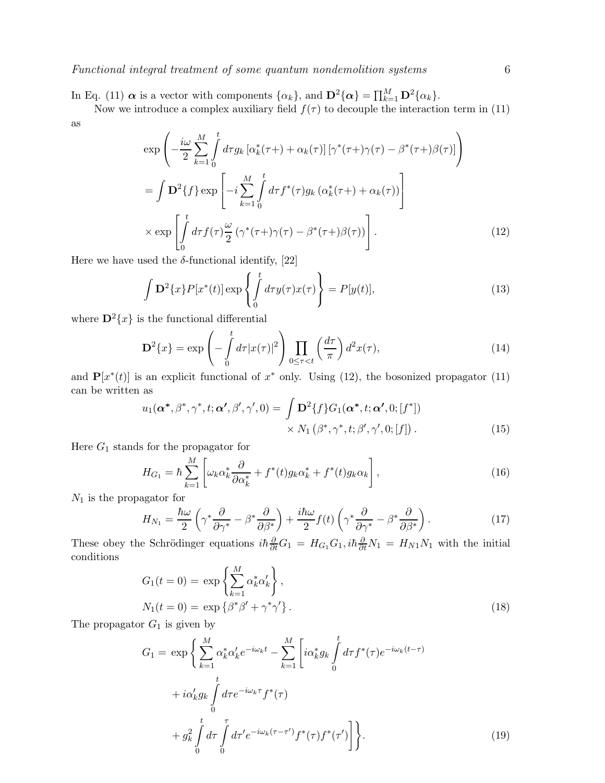Functional integral treatment of some quantum nondemolition systems 6

In Eq. (11)  $\boldsymbol{\alpha}$  is a vector with components  $\{\alpha_k\}$ , and  $\mathbf{D}^2\{\boldsymbol{\alpha}\} = \prod_{k=1}^M \mathbf{D}^2\{\alpha_k\}$ .

Now we introduce a complex auxiliary field  $f(\tau)$  to decouple the interaction term in (11) as

$$
\exp\left(-\frac{i\omega}{2}\sum_{k=1}^{M}\int_{0}^{t}d\tau g_{k}\left[\alpha_{k}^{*}(\tau+\right)+\alpha_{k}(\tau)\right]\left[\gamma^{*}(\tau+\gamma(\tau)-\beta^{*}(\tau+\beta(\tau))\right]
$$
\n
$$
=\int \mathbf{D}^{2}\lbrace f\rbrace \exp\left[-i\sum_{k=1}^{M}\int_{0}^{t}d\tau f^{*}(\tau)g_{k}\left(\alpha_{k}^{*}(\tau+\right)+\alpha_{k}(\tau)\right)\right]
$$
\n
$$
\times \exp\left[\int_{0}^{t}d\tau f(\tau)\frac{\omega}{2}\left(\gamma^{*}(\tau+\gamma(\tau)-\beta^{*}(\tau+\beta(\tau))\right)\right].
$$
\n(12)

Here we have used the  $\delta$ -functional identify, [22]

$$
\int \mathbf{D}^2 \{x\} P[x^*(t)] \exp \left\{ \int_0^t d\tau y(\tau) x(\tau) \right\} = P[y(t)], \tag{13}
$$

where  $\mathbf{D}^2\{x\}$  is the functional differential

$$
\mathbf{D}^2\{x\} = \exp\left(-\int_0^t d\tau |x(\tau)|^2\right) \prod_{0 \le \tau < t} \left(\frac{d\tau}{\pi}\right) d^2x(\tau),\tag{14}
$$

and  $\mathbf{P}[x^*(t)]$  is an explicit functional of  $x^*$  only. Using (12), the bosonized propagator (11) can be written as

$$
u_1(\boldsymbol{\alpha^*}, \beta^*, \gamma^*, t; \boldsymbol{\alpha'}, \beta', \gamma', 0) = \int \mathbf{D}^2 \{f\} G_1(\boldsymbol{\alpha^*}, t; \boldsymbol{\alpha'}, 0; [f^*])
$$
  
 
$$
\times N_1(\beta^*, \gamma^*, t; \beta', \gamma', 0; [f]).
$$
 (15)

Here  $G_1$  stands for the propagator for

$$
H_{G_1} = \hbar \sum_{k=1}^{M} \left[ \omega_k \alpha_k^* \frac{\partial}{\partial \alpha_k^*} + f^*(t) g_k \alpha_k^* + f^*(t) g_k \alpha_k \right],
$$
\n(16)

 $\mathcal{N}_1$  is the propagator for

$$
H_{N_1} = \frac{\hbar\omega}{2} \left( \gamma^* \frac{\partial}{\partial \gamma^*} - \beta^* \frac{\partial}{\partial \beta^*} \right) + \frac{i\hbar\omega}{2} f(t) \left( \gamma^* \frac{\partial}{\partial \gamma^*} - \beta^* \frac{\partial}{\partial \beta^*} \right). \tag{17}
$$

These obey the Schrödinger equations  $i\hbar \frac{\partial}{\partial t}G_1 = H_{G_1}G_1$ ,  $i\hbar \frac{\partial}{\partial t}N_1 = H_{N1}N_1$  with the initial conditions

$$
G_1(t=0) = \exp\left\{\sum_{k=1}^M \alpha_k^* \alpha_k'\right\},\,
$$
  

$$
N_1(t=0) = \exp\left\{\beta^* \beta' + \gamma^* \gamma'\right\}.
$$
 (18)

The propagator  $G_1$  is given by

$$
G_{1} = \exp\left\{\sum_{k=1}^{M} \alpha_{k}^{*} \alpha_{k}^{\prime} e^{-i\omega_{k}t} - \sum_{k=1}^{M} \left[ i\alpha_{k}^{*} g_{k} \int_{0}^{t} d\tau f^{*}(\tau) e^{-i\omega_{k}(t-\tau)} \right. \\ + i\alpha_{k}^{\prime} g_{k} \int_{0}^{t} d\tau e^{-i\omega_{k}\tau} f^{*}(\tau) \\ + g_{k}^{2} \int_{0}^{t} d\tau \int_{0}^{\tau} d\tau^{\prime} e^{-i\omega_{k}(\tau-\tau^{\prime})} f^{*}(\tau) f^{*}(\tau^{\prime}) \right] \bigg\}.
$$
 (19)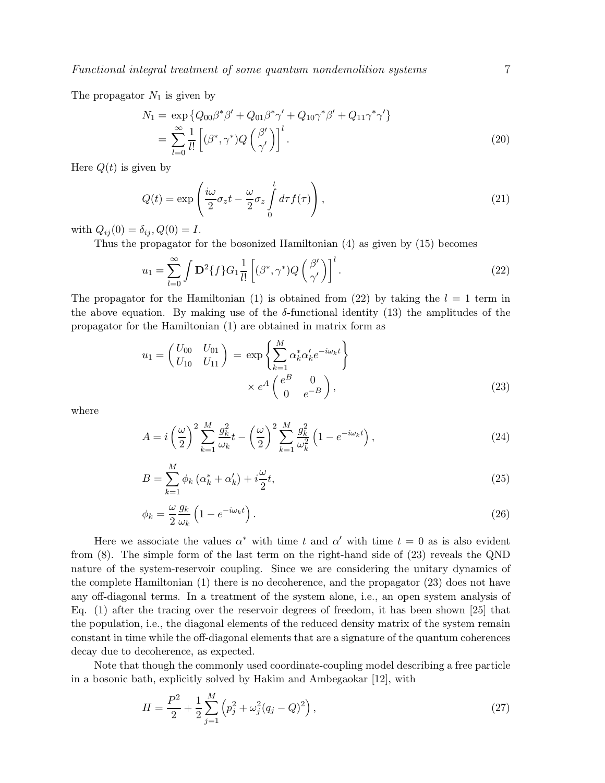The propagator  $N_1$  is given by

$$
N_1 = \exp \{ Q_{00} \beta^* \beta' + Q_{01} \beta^* \gamma' + Q_{10} \gamma^* \beta' + Q_{11} \gamma^* \gamma' \}
$$
  
= 
$$
\sum_{l=0}^{\infty} \frac{1}{l!} \left[ (\beta^*, \gamma^*) Q \left( \frac{\beta'}{\gamma'} \right) \right]^l.
$$
 (20)

Here  $Q(t)$  is given by

$$
Q(t) = \exp\left(\frac{i\omega}{2}\sigma_z t - \frac{\omega}{2}\sigma_z \int_0^t d\tau f(\tau)\right),\tag{21}
$$

with  $Q_{ij}(0) = \delta_{ij}, Q(0) = I$ .

Thus the propagator for the bosonized Hamiltonian (4) as given by (15) becomes

$$
u_1 = \sum_{l=0}^{\infty} \int \mathbf{D}^2 \{ f \} G_1 \frac{1}{l!} \left[ (\beta^*, \gamma^*) Q \left( \frac{\beta'}{\gamma'} \right) \right]^l.
$$
 (22)

The propagator for the Hamiltonian (1) is obtained from (22) by taking the  $l = 1$  term in the above equation. By making use of the  $\delta$ -functional identity (13) the amplitudes of the propagator for the Hamiltonian (1) are obtained in matrix form as

$$
u_1 = \begin{pmatrix} U_{00} & U_{01} \\ U_{10} & U_{11} \end{pmatrix} = \exp\left\{ \sum_{k=1}^M \alpha_k^* \alpha_k' e^{-i\omega_k t} \right\} \times e^A \begin{pmatrix} e^B & 0 \\ 0 & e^{-B} \end{pmatrix},
$$
 (23)

where

$$
A = i\left(\frac{\omega}{2}\right)^2 \sum_{k=1}^M \frac{g_k^2}{\omega_k} t - \left(\frac{\omega}{2}\right)^2 \sum_{k=1}^M \frac{g_k^2}{\omega_k^2} \left(1 - e^{-i\omega_k t}\right),\tag{24}
$$

$$
B = \sum_{k=1}^{M} \phi_k \left( \alpha_k^* + \alpha_k' \right) + i \frac{\omega}{2} t,\tag{25}
$$

$$
\phi_k = \frac{\omega}{2} \frac{g_k}{\omega_k} \left( 1 - e^{-i\omega_k t} \right). \tag{26}
$$

Here we associate the values  $\alpha^*$  with time t and  $\alpha'$  with time  $t = 0$  as is also evident from (8). The simple form of the last term on the right-hand side of (23) reveals the QND nature of the system-reservoir coupling. Since we are considering the unitary dynamics of the complete Hamiltonian (1) there is no decoherence, and the propagator (23) does not have any off-diagonal terms. In a treatment of the system alone, i.e., an open system analysis of Eq. (1) after the tracing over the reservoir degrees of freedom, it has been shown [25] that the population, i.e., the diagonal elements of the reduced density matrix of the system remain constant in time while the off-diagonal elements that are a signature of the quantum coherences decay due to decoherence, as expected.

Note that though the commonly used coordinate-coupling model describing a free particle in a bosonic bath, explicitly solved by Hakim and Ambegaokar [12], with

$$
H = \frac{P^2}{2} + \frac{1}{2} \sum_{j=1}^{M} \left( p_j^2 + \omega_j^2 (q_j - Q)^2 \right),\tag{27}
$$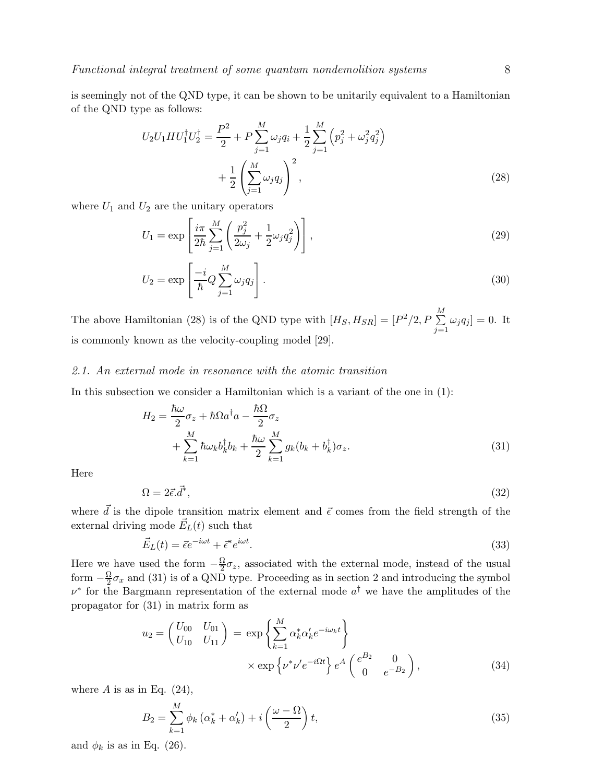is seemingly not of the QND type, it can be shown to be unitarily equivalent to a Hamiltonian of the QND type as follows:

$$
U_2 U_1 H U_1^{\dagger} U_2^{\dagger} = \frac{P^2}{2} + P \sum_{j=1}^{M} \omega_j q_i + \frac{1}{2} \sum_{j=1}^{M} \left( p_j^2 + \omega_j^2 q_j^2 \right) + \frac{1}{2} \left( \sum_{j=1}^{M} \omega_j q_j \right)^2, \tag{28}
$$

where  $U_1$  and  $U_2$  are the unitary operators

$$
U_1 = \exp\left[\frac{i\pi}{2\hbar}\sum_{j=1}^{M}\left(\frac{p_j^2}{2\omega_j} + \frac{1}{2}\omega_j q_j^2\right)\right],\tag{29}
$$

$$
U_2 = \exp\left[\frac{-i}{\hbar}Q\sum_{j=1}^{M}\omega_j q_j\right].
$$
\n(30)

The above Hamiltonian (28) is of the QND type with  $[H_S, H_{SR}] = [P^2/2, P \sum^M$  $\sum_{j=1} \omega_j q_j ] = 0.$  It is commonly known as the velocity-coupling model [29].

#### 2.1. An external mode in resonance with the atomic transition

In this subsection we consider a Hamiltonian which is a variant of the one in (1):

$$
H_2 = \frac{\hbar\omega}{2}\sigma_z + \hbar\Omega a^\dagger a - \frac{\hbar\Omega}{2}\sigma_z
$$
  
+ 
$$
\sum_{k=1}^M \hbar\omega_k b_k^\dagger b_k + \frac{\hbar\omega}{2} \sum_{k=1}^M g_k (b_k + b_k^\dagger) \sigma_z.
$$
 (31)

Here

$$
\Omega = 2\vec{\epsilon} \cdot \vec{d}^*,\tag{32}
$$

where  $\vec{d}$  is the dipole transition matrix element and  $\vec{\epsilon}$  comes from the field strength of the external driving mode  $\vec{E}_L(t)$  such that

$$
\vec{E}_L(t) = \vec{\epsilon}e^{-i\omega t} + \vec{\epsilon}^*e^{i\omega t}.\tag{33}
$$

Here we have used the form  $-\frac{\Omega}{2}$  $\frac{\Delta I}{2}\sigma_z$ , associated with the external mode, instead of the usual form  $-\frac{\Omega}{2}$  $\frac{\partial Q}{\partial x}$  and (31) is of a QND type. Proceeding as in section 2 and introducing the symbol  $\nu^*$  for the Bargmann representation of the external mode  $a^{\dagger}$  we have the amplitudes of the propagator for (31) in matrix form as

$$
u_2 = \begin{pmatrix} U_{00} & U_{01} \\ U_{10} & U_{11} \end{pmatrix} = \exp\left\{ \sum_{k=1}^M \alpha_k^* \alpha_k' e^{-i\omega_k t} \right\} \times \exp\left\{ \nu^* \nu' e^{-i\Omega t} \right\} e^A \begin{pmatrix} e^{B_2} & 0 \\ 0 & e^{-B_2} \end{pmatrix},
$$
\n(34)

where  $A$  is as in Eq. (24),

$$
B_2 = \sum_{k=1}^{M} \phi_k \left( \alpha_k^* + \alpha_k' \right) + i \left( \frac{\omega - \Omega}{2} \right) t,\tag{35}
$$

and  $\phi_k$  is as in Eq. (26).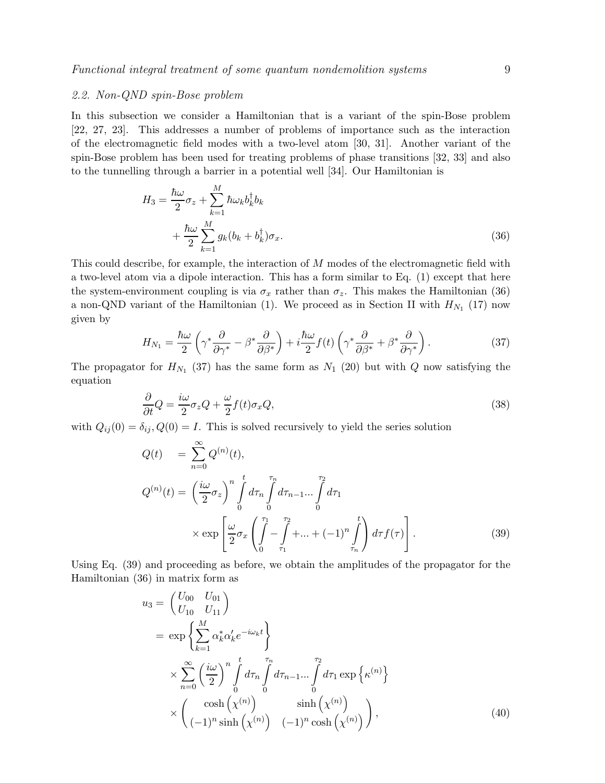# 2.2. Non-QND spin-Bose problem

In this subsection we consider a Hamiltonian that is a variant of the spin-Bose problem [22, 27, 23]. This addresses a number of problems of importance such as the interaction of the electromagnetic field modes with a two-level atom [30, 31]. Another variant of the spin-Bose problem has been used for treating problems of phase transitions [32, 33] and also to the tunnelling through a barrier in a potential well [34]. Our Hamiltonian is

$$
H_3 = \frac{\hbar\omega}{2}\sigma_z + \sum_{k=1}^M \hbar\omega_k b_k^\dagger b_k + \frac{\hbar\omega}{2}\sum_{k=1}^M g_k(b_k + b_k^\dagger)\sigma_x.
$$
\n(36)

This could describe, for example, the interaction of M modes of the electromagnetic field with a two-level atom via a dipole interaction. This has a form similar to Eq. (1) except that here the system-environment coupling is via  $\sigma_x$  rather than  $\sigma_z$ . This makes the Hamiltonian (36) a non-QND variant of the Hamiltonian (1). We proceed as in Section II with  $H_{N_1}$  (17) now given by

$$
H_{N_1} = \frac{\hbar\omega}{2} \left( \gamma^* \frac{\partial}{\partial \gamma^*} - \beta^* \frac{\partial}{\partial \beta^*} \right) + i \frac{\hbar\omega}{2} f(t) \left( \gamma^* \frac{\partial}{\partial \beta^*} + \beta^* \frac{\partial}{\partial \gamma^*} \right). \tag{37}
$$

The propagator for  $H_{N_1}$  (37) has the same form as  $N_1$  (20) but with Q now satisfying the equation

$$
\frac{\partial}{\partial t}Q = \frac{i\omega}{2}\sigma_z Q + \frac{\omega}{2}f(t)\sigma_x Q,\tag{38}
$$

with  $Q_{ij}(0) = \delta_{ij}$ ,  $Q(0) = I$ . This is solved recursively to yield the series solution

$$
Q(t) = \sum_{n=0}^{\infty} Q^{(n)}(t),
$$
  
\n
$$
Q^{(n)}(t) = \left(\frac{i\omega}{2}\sigma_z\right)^n \int_0^t d\tau_n \int_0^{\tau_n} d\tau_{n-1}...\int_0^{\tau_2} d\tau_1
$$
  
\n
$$
\times \exp\left[\frac{\omega}{2}\sigma_x \left(\int_0^{\tau_1} - \int_{\tau_1}^{\tau_2} + ... + (-1)^n \int_{\tau_n}^t \right) d\tau f(\tau)\right].
$$
\n(39)

Using Eq. (39) and proceeding as before, we obtain the amplitudes of the propagator for the Hamiltonian (36) in matrix form as

$$
u_3 = \begin{pmatrix} U_{00} & U_{01} \\ U_{10} & U_{11} \end{pmatrix}
$$
  
=  $\exp\left\{\sum_{k=1}^M \alpha_k^* \alpha'_k e^{-i\omega_k t}\right\}$   
 $\times \sum_{n=0}^\infty \left(\frac{i\omega}{2}\right)^n \int_0^t d\tau_n \int_0^{\tau_n} d\tau_{n-1} \dots \int_0^{\tau_2} d\tau_1 \exp\left\{\kappa^{(n)}\right\}$   
 $\times \begin{pmatrix} \cosh\left(\chi^{(n)}\right) & \sinh\left(\chi^{(n)}\right) \\ (-1)^n \sinh\left(\chi^{(n)}\right) & (-1)^n \cosh\left(\chi^{(n)}\right) \end{pmatrix},$  (40)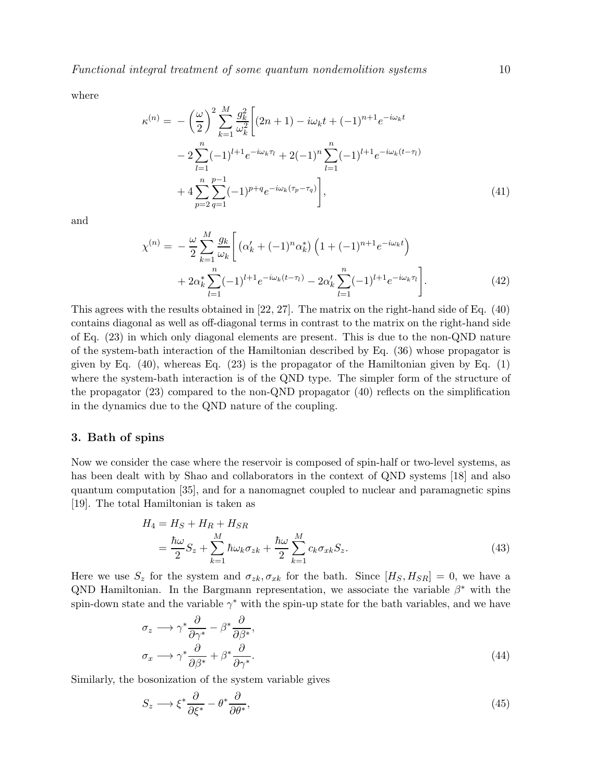where

$$
\kappa^{(n)} = -\left(\frac{\omega}{2}\right)^2 \sum_{k=1}^M \frac{g_k^2}{\omega_k^2} \left[ (2n+1) - i\omega_k t + (-1)^{n+1} e^{-i\omega_k t} - 2 \sum_{l=1}^n (-1)^{l+1} e^{-i\omega_k \tau_l} + 2(-1)^n \sum_{l=1}^n (-1)^{l+1} e^{-i\omega_k (t-\tau_l)} + 4 \sum_{p=2}^n \sum_{q=1}^{p-1} (-1)^{p+q} e^{-i\omega_k (\tau_p - \tau_q)} \right],
$$
\n(41)

and

$$
\chi^{(n)} = -\frac{\omega}{2} \sum_{k=1}^{M} \frac{g_k}{\omega_k} \left[ \left( \alpha'_k + (-1)^n \alpha_k^* \right) \left( 1 + (-1)^{n+1} e^{-i\omega_k t} \right) + 2\alpha_k^* \sum_{l=1}^n (-1)^{l+1} e^{-i\omega_k (t-\tau_l)} - 2\alpha_k' \sum_{l=1}^n (-1)^{l+1} e^{-i\omega_k \tau_l} \right]. \tag{42}
$$

This agrees with the results obtained in [22, 27]. The matrix on the right-hand side of Eq. (40) contains diagonal as well as off-diagonal terms in contrast to the matrix on the right-hand side of Eq. (23) in which only diagonal elements are present. This is due to the non-QND nature of the system-bath interaction of the Hamiltonian described by Eq. (36) whose propagator is given by Eq.  $(40)$ , whereas Eq.  $(23)$  is the propagator of the Hamiltonian given by Eq.  $(1)$ where the system-bath interaction is of the QND type. The simpler form of the structure of the propagator (23) compared to the non-QND propagator (40) reflects on the simplification in the dynamics due to the QND nature of the coupling.

#### 3. Bath of spins

Now we consider the case where the reservoir is composed of spin-half or two-level systems, as has been dealt with by Shao and collaborators in the context of QND systems [18] and also quantum computation [35], and for a nanomagnet coupled to nuclear and paramagnetic spins [19]. The total Hamiltonian is taken as

$$
H_4 = H_S + H_R + H_{SR}
$$
  
=  $\frac{\hbar \omega}{2} S_z + \sum_{k=1}^M \hbar \omega_k \sigma_{zk} + \frac{\hbar \omega}{2} \sum_{k=1}^M c_k \sigma_{xk} S_z.$  (43)

Here we use  $S_z$  for the system and  $\sigma_{zk}, \sigma_{xk}$  for the bath. Since  $[H_S, H_{SR}] = 0$ , we have a QND Hamiltonian. In the Bargmann representation, we associate the variable  $\beta^*$  with the spin-down state and the variable  $\gamma^*$  with the spin-up state for the bath variables, and we have

$$
\sigma_z \longrightarrow \gamma^* \frac{\partial}{\partial \gamma^*} - \beta^* \frac{\partial}{\partial \beta^*},
$$
  
\n
$$
\sigma_x \longrightarrow \gamma^* \frac{\partial}{\partial \beta^*} + \beta^* \frac{\partial}{\partial \gamma^*}.
$$
\n(44)

Similarly, the bosonization of the system variable gives

$$
S_z \longrightarrow \xi^* \frac{\partial}{\partial \xi^*} - \theta^* \frac{\partial}{\partial \theta^*},\tag{45}
$$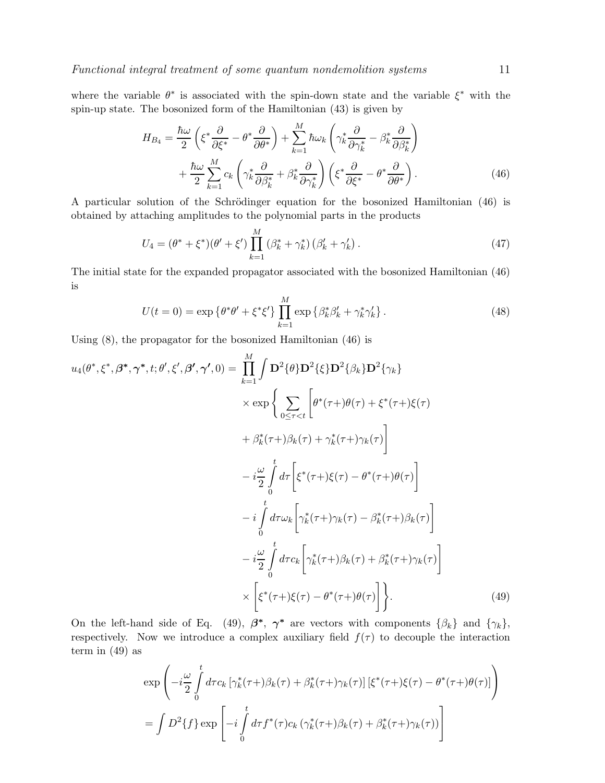where the variable  $\theta^*$  is associated with the spin-down state and the variable  $\xi^*$  with the spin-up state. The bosonized form of the Hamiltonian (43) is given by

$$
H_{B_4} = \frac{\hbar\omega}{2} \left( \xi^* \frac{\partial}{\partial \xi^*} - \theta^* \frac{\partial}{\partial \theta^*} \right) + \sum_{k=1}^M \hbar\omega_k \left( \gamma_k^* \frac{\partial}{\partial \gamma_k^*} - \beta_k^* \frac{\partial}{\partial \beta_k^*} \right) + \frac{\hbar\omega}{2} \sum_{k=1}^M c_k \left( \gamma_k^* \frac{\partial}{\partial \beta_k^*} + \beta_k^* \frac{\partial}{\partial \gamma_k^*} \right) \left( \xi^* \frac{\partial}{\partial \xi^*} - \theta^* \frac{\partial}{\partial \theta^*} \right).
$$
(46)

A particular solution of the Schrödinger equation for the bosonized Hamiltonian (46) is obtained by attaching amplitudes to the polynomial parts in the products

$$
U_4 = (\theta^* + \xi^*)(\theta' + \xi') \prod_{k=1}^M (\beta_k^* + \gamma_k^*) (\beta_k' + \gamma_k').
$$
\n(47)

The initial state for the expanded propagator associated with the bosonized Hamiltonian (46) is

$$
U(t=0) = \exp\{\theta^*\theta' + \xi^*\xi'\}\prod_{k=1}^M \exp\{\beta_k^*\beta_k' + \gamma_k^*\gamma_k'\}.
$$
 (48)

Using (8), the propagator for the bosonized Hamiltonian (46) is

$$
u_4(\theta^*, \xi^*, \beta^*, \gamma^*, t; \theta', \xi', \beta', \gamma', 0) = \prod_{k=1}^M \int \mathbf{D}^2 \{\theta\} \mathbf{D}^2 \{\xi\} \mathbf{D}^2 \{\beta_k\} \mathbf{D}^2 \{\gamma_k\}
$$
  
\n
$$
\times \exp \left\{ \sum_{0 \leq \tau < t} \left[ \theta^*(\tau + \theta(\tau) + \xi^*(\tau + \xi(\tau)) + \beta_k(\tau + \xi(\tau)) \right] \right\}
$$
  
\n
$$
- i \frac{\omega}{2} \int_0^t d\tau \left[ \xi^*(\tau + \xi(\tau) - \theta^*(\tau + \theta(\tau)) \right]
$$
  
\n
$$
- i \int_0^t d\tau \omega_k \left[ \gamma_k^*(\tau + \xi(\tau) - \beta_k^*(\tau + \xi(\tau)) \right]
$$
  
\n
$$
- i \frac{\omega}{2} \int_0^t d\tau c_k \left[ \gamma_k^*(\tau + \xi(\tau) - \beta_k^*(\tau + \xi(\tau)) \right]
$$
  
\n
$$
\times \left[ \xi^*(\tau + \xi(\tau) - \theta^*(\tau + \theta(\tau)) \right] \right\}.
$$
  
\n(49)

On the left-hand side of Eq. (49),  $\beta^*$ ,  $\gamma^*$  are vectors with components  $\{\beta_k\}$  and  $\{\gamma_k\}$ , respectively. Now we introduce a complex auxiliary field  $f(\tau)$  to decouple the interaction term in  $(49)$  as

$$
\exp\left(-i\frac{\omega}{2}\int_{0}^{t}d\tau c_{k}\left[\gamma_{k}^{*}(\tau+\beta_{k}(\tau)+\beta_{k}^{*}(\tau+\gamma_{k}(\tau))\left[\xi^{*}(\tau+\xi(\tau)-\theta^{*}(\tau+\theta(\tau))\right]\right)\right)
$$

$$
=\int D^{2}\{f\}\exp\left[-i\int_{0}^{t}d\tau f^{*}(\tau)c_{k}\left(\gamma_{k}^{*}(\tau+\beta_{k}(\tau)+\beta_{k}^{*}(\tau+\gamma_{k}(\tau))\right)\right]
$$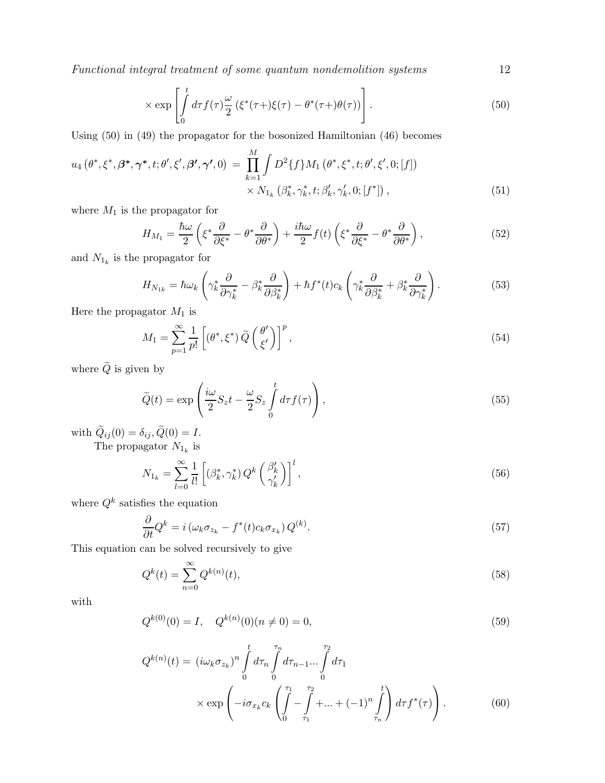Functional integral treatment of some quantum nondemolition systems 12

$$
\times \exp\left[\int\limits_0^t d\tau f(\tau)\frac{\omega}{2}\left(\xi^*(\tau+\xi(\tau)-\theta^*(\tau+\theta(\tau))\right)\right].\tag{50}
$$

Using (50) in (49) the propagator for the bosonized Hamiltonian (46) becomes

$$
u_4(\theta^*, \xi^*, \beta^*, \gamma^*, t; \theta', \xi', \beta', \gamma', 0) = \prod_{k=1}^M \int D^2\{f\} M_1(\theta^*, \xi^*, t; \theta', \xi', 0; [f]) \times N_{1_k}(\beta_k^*, \gamma_k^*, t; \beta_k', \gamma_k', 0; [f^*]),
$$
\n(51)

where  $\mathcal{M}_1$  is the propagator for

$$
H_{M_1} = \frac{\hbar\omega}{2} \left( \xi^* \frac{\partial}{\partial \xi^*} - \theta^* \frac{\partial}{\partial \theta^*} \right) + \frac{i\hbar\omega}{2} f(t) \left( \xi^* \frac{\partial}{\partial \xi^*} - \theta^* \frac{\partial}{\partial \theta^*} \right),\tag{52}
$$

and  $N_{1_k}$  is the propagator for

$$
H_{N_{1k}} = \hbar\omega_k \left( \gamma_k^* \frac{\partial}{\partial \gamma_k^*} - \beta_k^* \frac{\partial}{\partial \beta_k^*} \right) + \hbar f^*(t)c_k \left( \gamma_k^* \frac{\partial}{\partial \beta_k^*} + \beta_k^* \frac{\partial}{\partial \gamma_k^*} \right). \tag{53}
$$

Here the propagator  $M_1$  is

$$
M_1 = \sum_{p=1}^{\infty} \frac{1}{p!} \left[ \left( \theta^*, \xi^* \right) \tilde{Q} \left( \frac{\theta'}{\xi'} \right) \right]^p, \tag{54}
$$

where  $\widetilde{Q}$  is given by

$$
\widetilde{Q}(t) = \exp\left(\frac{i\omega}{2}S_z t - \frac{\omega}{2}S_z \int_0^t d\tau f(\tau)\right),\tag{55}
$$

with  $Q_{ij}(0) = \delta_{ij}, Q(0) = I.$ 

The propagator  $N_{1_k}$  is

$$
N_{1_k} = \sum_{l=0}^{\infty} \frac{1}{l!} \left[ \left( \beta_k^*, \gamma_k^* \right) Q^k \left( \frac{\beta_k'}{\gamma_k'} \right) \right]^l, \tag{56}
$$

where  $Q^k$  satisfies the equation

$$
\frac{\partial}{\partial t} Q^k = i \left( \omega_k \sigma_{z_k} - f^*(t) c_k \sigma_{x_k} \right) Q^{(k)}.
$$
\n(57)

This equation can be solved recursively to give

$$
Q^{k}(t) = \sum_{n=0}^{\infty} Q^{k(n)}(t),
$$
\n(58)

with

$$
Q^{k(0)}(0) = I, \quad Q^{k(n)}(0)(n \neq 0) = 0,
$$
\n(59)

$$
Q^{k(n)}(t) = (i\omega_k \sigma_{z_k})^n \int_0^t d\tau_n \int_0^{\tau_n} d\tau_{n-1} ... \int_0^{\tau_2} d\tau_1
$$
  
 
$$
\times \exp\left(-i\sigma_{x_k} c_k \left(\int_0^{\tau_1} - \int_{\tau_1}^{\tau_2} + ... + (-1)^n \int_{\tau_n}^t \right) d\tau f^*(\tau)\right).
$$
 (60)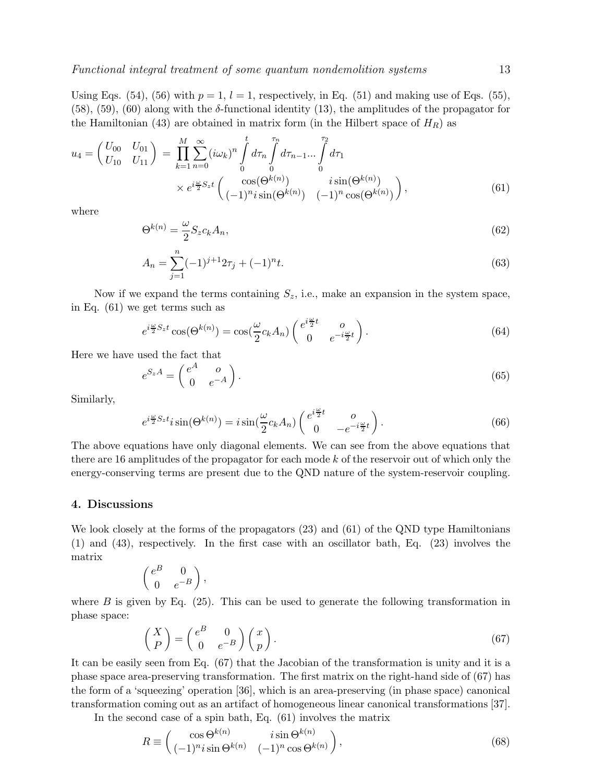Using Eqs. (54), (56) with  $p = 1$ ,  $l = 1$ , respectively, in Eq. (51) and making use of Eqs. (55), (58), (59), (60) along with the  $\delta$ -functional identity (13), the amplitudes of the propagator for the Hamiltonian (43) are obtained in matrix form (in the Hilbert space of  $H_R$ ) as

$$
u_4 = \begin{pmatrix} U_{00} & U_{01} \\ U_{10} & U_{11} \end{pmatrix} = \prod_{k=1}^M \sum_{n=0}^\infty (i\omega_k)^n \int_0^t d\tau_n \int_0^{\tau_n} d\tau_{n-1} \dots \int_0^{\tau_2} d\tau_1
$$
  
 
$$
\times e^{i\frac{\omega}{2} S_z t} \begin{pmatrix} \cos(\Theta^{k(n)}) & i \sin(\Theta^{k(n)}) \\ (-1)^n i \sin(\Theta^{k(n)}) & (-1)^n \cos(\Theta^{k(n)}) \end{pmatrix},
$$
 (61)

where

$$
\Theta^{k(n)} = \frac{\omega}{2} S_z c_k A_n,\tag{62}
$$

$$
A_n = \sum_{j=1}^n (-1)^{j+1} 2\tau_j + (-1)^n t.
$$
\n(63)

Now if we expand the terms containing  $S_z$ , i.e., make an expansion in the system space, in Eq. (61) we get terms such as

$$
e^{i\frac{\omega}{2}S_z t} \cos(\Theta^{k(n)}) = \cos(\frac{\omega}{2}c_k A_n) \begin{pmatrix} e^{i\frac{\omega}{2}t} & 0\\ 0 & e^{-i\frac{\omega}{2}t} \end{pmatrix}.
$$
 (64)

Here we have used the fact that

$$
e^{SzA} = \begin{pmatrix} e^A & o \\ 0 & e^{-A} \end{pmatrix}.
$$
 (65)

Similarly,

$$
e^{i\frac{\omega}{2}S_z t} i \sin(\Theta^{k(n)}) = i \sin(\frac{\omega}{2}c_k A_n) \begin{pmatrix} e^{i\frac{\omega}{2}t} & o \\ 0 & -e^{-i\frac{\omega}{2}t} \end{pmatrix}.
$$
 (66)

The above equations have only diagonal elements. We can see from the above equations that there are 16 amplitudes of the propagator for each mode k of the reservoir out of which only the energy-conserving terms are present due to the QND nature of the system-reservoir coupling.

#### 4. Discussions

We look closely at the forms of the propagators (23) and (61) of the QND type Hamiltonians (1) and (43), respectively. In the first case with an oscillator bath, Eq. (23) involves the matrix

$$
\begin{pmatrix} e^B & 0 \\ 0 & e^{-B} \end{pmatrix},
$$

where  $B$  is given by Eq. (25). This can be used to generate the following transformation in phase space:

$$
\begin{pmatrix} X \\ P \end{pmatrix} = \begin{pmatrix} e^B & 0 \\ 0 & e^{-B} \end{pmatrix} \begin{pmatrix} x \\ p \end{pmatrix}.
$$
 (67)

It can be easily seen from Eq. (67) that the Jacobian of the transformation is unity and it is a phase space area-preserving transformation. The first matrix on the right-hand side of (67) has the form of a 'squeezing' operation [36], which is an area-preserving (in phase space) canonical transformation coming out as an artifact of homogeneous linear canonical transformations [37].

In the second case of a spin bath, Eq. (61) involves the matrix

$$
R \equiv \begin{pmatrix} \cos \Theta^{k(n)} & i \sin \Theta^{k(n)} \\ (-1)^n i \sin \Theta^{k(n)} & (-1)^n \cos \Theta^{k(n)} \end{pmatrix},
$$
(68)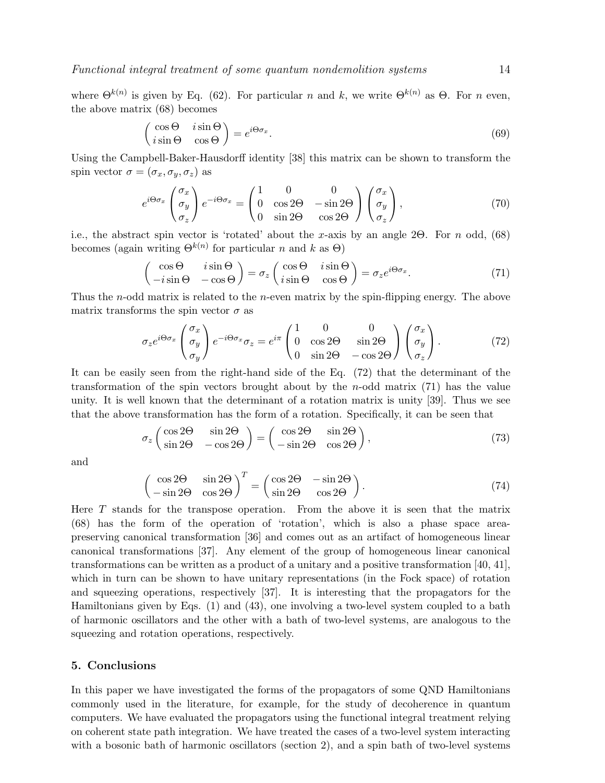Functional integral treatment of some quantum nondemolition systems 14

$$
\begin{pmatrix}\n\cos \Theta & i \sin \Theta \\
i \sin \Theta & \cos \Theta\n\end{pmatrix} = e^{i\Theta \sigma_x}.
$$
\n(69)

Using the Campbell-Baker-Hausdorff identity [38] this matrix can be shown to transform the spin vector  $\sigma = (\sigma_x, \sigma_y, \sigma_z)$  as

$$
e^{i\Theta\sigma_x} \begin{pmatrix} \sigma_x \\ \sigma_y \\ \sigma_z \end{pmatrix} e^{-i\Theta\sigma_x} = \begin{pmatrix} 1 & 0 & 0 \\ 0 & \cos 2\Theta & -\sin 2\Theta \\ 0 & \sin 2\Theta & \cos 2\Theta \end{pmatrix} \begin{pmatrix} \sigma_x \\ \sigma_y \\ \sigma_z \end{pmatrix}, \tag{70}
$$

i.e., the abstract spin vector is 'rotated' about the x-axis by an angle 2Θ. For n odd,  $(68)$ becomes (again writing  $\Theta^{k(n)}$  for particular n and k as  $\Theta$ )

$$
\begin{pmatrix}\n\cos\Theta & i\sin\Theta \\
-i\sin\Theta & -\cos\Theta\n\end{pmatrix} = \sigma_z \begin{pmatrix}\n\cos\Theta & i\sin\Theta \\
i\sin\Theta & \cos\Theta\n\end{pmatrix} = \sigma_z e^{i\Theta\sigma_x}.
$$
\n(71)

Thus the *n*-odd matrix is related to the *n*-even matrix by the spin-flipping energy. The above matrix transforms the spin vector  $\sigma$  as

$$
\sigma_z e^{i\Theta \sigma_x} \begin{pmatrix} \sigma_x \\ \sigma_y \\ \sigma_y \end{pmatrix} e^{-i\Theta \sigma_x} \sigma_z = e^{i\pi} \begin{pmatrix} 1 & 0 & 0 \\ 0 & \cos 2\Theta & \sin 2\Theta \\ 0 & \sin 2\Theta & -\cos 2\Theta \end{pmatrix} \begin{pmatrix} \sigma_x \\ \sigma_y \\ \sigma_z \end{pmatrix} . \tag{72}
$$

It can be easily seen from the right-hand side of the Eq. (72) that the determinant of the transformation of the spin vectors brought about by the  $n$ -odd matrix (71) has the value unity. It is well known that the determinant of a rotation matrix is unity [39]. Thus we see that the above transformation has the form of a rotation. Specifically, it can be seen that

$$
\sigma_z \begin{pmatrix} \cos 2\Theta & \sin 2\Theta \\ \sin 2\Theta & -\cos 2\Theta \end{pmatrix} = \begin{pmatrix} \cos 2\Theta & \sin 2\Theta \\ -\sin 2\Theta & \cos 2\Theta \end{pmatrix},
$$
(73)

and

$$
\begin{pmatrix}\n\cos 2\Theta & \sin 2\Theta \\
-\sin 2\Theta & \cos 2\Theta\n\end{pmatrix}^T = \begin{pmatrix}\n\cos 2\Theta & -\sin 2\Theta \\
\sin 2\Theta & \cos 2\Theta\n\end{pmatrix}.
$$
\n(74)

Here  $T$  stands for the transpose operation. From the above it is seen that the matrix (68) has the form of the operation of 'rotation', which is also a phase space areapreserving canonical transformation [36] and comes out as an artifact of homogeneous linear canonical transformations [37]. Any element of the group of homogeneous linear canonical transformations can be written as a product of a unitary and a positive transformation [40, 41], which in turn can be shown to have unitary representations (in the Fock space) of rotation and squeezing operations, respectively [37]. It is interesting that the propagators for the Hamiltonians given by Eqs. (1) and (43), one involving a two-level system coupled to a bath of harmonic oscillators and the other with a bath of two-level systems, are analogous to the squeezing and rotation operations, respectively.

### 5. Conclusions

In this paper we have investigated the forms of the propagators of some QND Hamiltonians commonly used in the literature, for example, for the study of decoherence in quantum computers. We have evaluated the propagators using the functional integral treatment relying on coherent state path integration. We have treated the cases of a two-level system interacting with a bosonic bath of harmonic oscillators (section 2), and a spin bath of two-level systems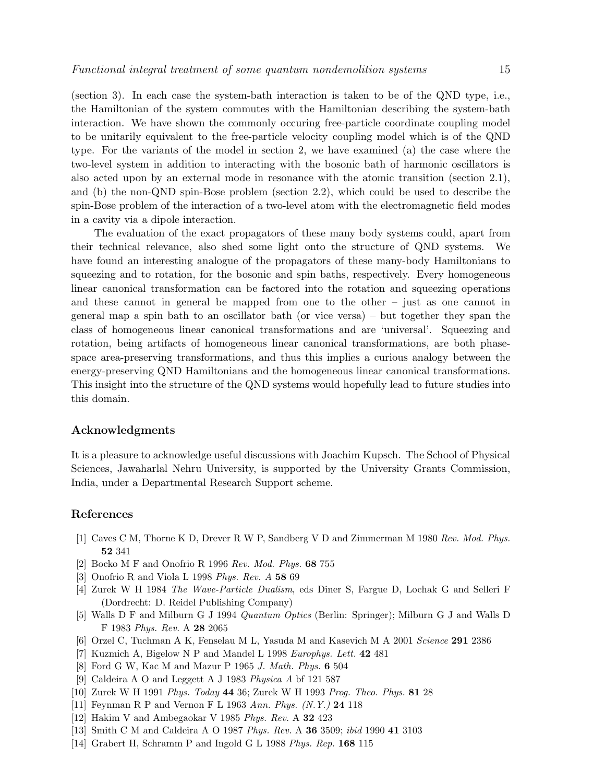(section 3). In each case the system-bath interaction is taken to be of the QND type, i.e., the Hamiltonian of the system commutes with the Hamiltonian describing the system-bath interaction. We have shown the commonly occuring free-particle coordinate coupling model to be unitarily equivalent to the free-particle velocity coupling model which is of the QND type. For the variants of the model in section 2, we have examined (a) the case where the two-level system in addition to interacting with the bosonic bath of harmonic oscillators is also acted upon by an external mode in resonance with the atomic transition (section 2.1), and (b) the non-QND spin-Bose problem (section 2.2), which could be used to describe the spin-Bose problem of the interaction of a two-level atom with the electromagnetic field modes in a cavity via a dipole interaction.

The evaluation of the exact propagators of these many body systems could, apart from their technical relevance, also shed some light onto the structure of QND systems. We have found an interesting analogue of the propagators of these many-body Hamiltonians to squeezing and to rotation, for the bosonic and spin baths, respectively. Every homogeneous linear canonical transformation can be factored into the rotation and squeezing operations and these cannot in general be mapped from one to the other – just as one cannot in general map a spin bath to an oscillator bath (or vice versa) – but together they span the class of homogeneous linear canonical transformations and are 'universal'. Squeezing and rotation, being artifacts of homogeneous linear canonical transformations, are both phasespace area-preserving transformations, and thus this implies a curious analogy between the energy-preserving QND Hamiltonians and the homogeneous linear canonical transformations. This insight into the structure of the QND systems would hopefully lead to future studies into this domain.

## Acknowledgments

It is a pleasure to acknowledge useful discussions with Joachim Kupsch. The School of Physical Sciences, Jawaharlal Nehru University, is supported by the University Grants Commission, India, under a Departmental Research Support scheme.

#### References

- [1] Caves C M, Thorne K D, Drever R W P, Sandberg V D and Zimmerman M 1980 *Rev. Mod. Phys.* 52 341
- [2] Bocko M F and Onofrio R 1996 *Rev. Mod. Phys.* 68 755
- [3] Onofrio R and Viola L 1998 *Phys. Rev. A* 58 69
- [4] Zurek W H 1984 *The Wave-Particle Dualism*, eds Diner S, Fargue D, Lochak G and Selleri F (Dordrecht: D. Reidel Publishing Company)
- [5] Walls D F and Milburn G J 1994 *Quantum Optics* (Berlin: Springer); Milburn G J and Walls D F 1983 *Phys. Rev.* A 28 2065
- [6] Orzel C, Tuchman A K, Fenselau M L, Yasuda M and Kasevich M A 2001 *Science* 291 2386
- [7] Kuzmich A, Bigelow N P and Mandel L 1998 *Europhys. Lett.* 42 481
- [8] Ford G W, Kac M and Mazur P 1965 *J. Math. Phys.* 6 504
- [9] Caldeira A O and Leggett A J 1983 *Physica A* bf 121 587
- [10] Zurek W H 1991 *Phys. Today* 44 36; Zurek W H 1993 *Prog. Theo. Phys.* 81 28
- [11] Feynman R P and Vernon F L 1963 *Ann. Phys. (N.Y.)* 24 118
- [12] Hakim V and Ambegaokar V 1985 *Phys. Rev.* A 32 423
- [13] Smith C M and Caldeira A O 1987 *Phys. Rev.* A 36 3509; *ibid* 1990 41 3103
- [14] Grabert H, Schramm P and Ingold G L 1988 *Phys. Rep.* 168 115